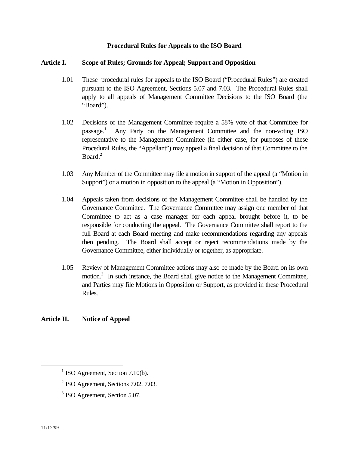## **Procedural Rules for Appeals to the ISO Board**

#### **Article I. Scope of Rules; Grounds for Appeal; Support and Opposition**

- 1.01 These procedural rules for appeals to the ISO Board ("Procedural Rules") are created pursuant to the ISO Agreement, Sections 5.07 and 7.03. The Procedural Rules shall apply to all appeals of Management Committee Decisions to the ISO Board (the "Board").
- 1.02 Decisions of the Management Committee require a 58% vote of that Committee for  $passage.<sup>1</sup>$  Any Party on the Management Committee and the non-voting ISO representative to the Management Committee (in either case, for purposes of these Procedural Rules, the "Appellant") may appeal a final decision of that Committee to the Board.<sup>2</sup>
- 1.03 Any Member of the Committee may file a motion in support of the appeal (a "Motion in Support") or a motion in opposition to the appeal (a "Motion in Opposition").
- 1.04 Appeals taken from decisions of the Management Committee shall be handled by the Governance Committee. The Governance Committee may assign one member of that Committee to act as a case manager for each appeal brought before it, to be responsible for conducting the appeal. The Governance Committee shall report to the full Board at each Board meeting and make recommendations regarding any appeals then pending. The Board shall accept or reject recommendations made by the Governance Committee, either individually or together, as appropriate.
- 1.05 Review of Management Committee actions may also be made by the Board on its own motion.<sup>3</sup> In such instance, the Board shall give notice to the Management Committee, and Parties may file Motions in Opposition or Support, as provided in these Procedural Rules.

# **Article II. Notice of Appeal**

 $\overline{a}$ 

 $1$  ISO Agreement, Section 7.10(b).

 $2$  ISO Agreement, Sections 7.02, 7.03.

<sup>&</sup>lt;sup>3</sup> ISO Agreement, Section 5.07.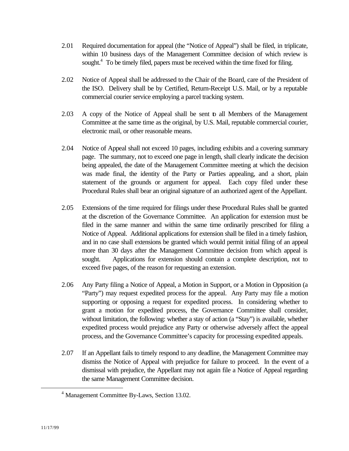- 2.01 Required documentation for appeal (the "Notice of Appeal") shall be filed, in triplicate, within 10 business days of the Management Committee decision of which review is sought.<sup>4</sup> To be timely filed, papers must be received within the time fixed for filing.
- 2.02 Notice of Appeal shall be addressed to the Chair of the Board, care of the President of the ISO. Delivery shall be by Certified, Return-Receipt U.S. Mail, or by a reputable commercial courier service employing a parcel tracking system.
- 2.03 A copy of the Notice of Appeal shall be sent to all Members of the Management Committee at the same time as the original, by U.S. Mail, reputable commercial courier, electronic mail, or other reasonable means.
- 2.04 Notice of Appeal shall not exceed 10 pages, including exhibits and a covering summary page. The summary, not to exceed one page in length, shall clearly indicate the decision being appealed, the date of the Management Committee meeting at which the decision was made final, the identity of the Party or Parties appealing, and a short, plain statement of the grounds or argument for appeal. Each copy filed under these Procedural Rules shall bear an original signature of an authorized agent of the Appellant.
- 2.05 Extensions of the time required for filings under these Procedural Rules shall be granted at the discretion of the Governance Committee. An application for extension must be filed in the same manner and within the same time ordinarily prescribed for filing a Notice of Appeal. Additional applications for extension shall be filed in a timely fashion, and in no case shall extensions be granted which would permit initial filing of an appeal more than 30 days after the Management Committee decision from which appeal is sought. Applications for extension should contain a complete description, not to exceed five pages, of the reason for requesting an extension.
- 2.06 Any Party filing a Notice of Appeal, a Motion in Support, or a Motion in Opposition (a "Party") may request expedited process for the appeal. Any Party may file a motion supporting or opposing a request for expedited process. In considering whether to grant a motion for expedited process, the Governance Committee shall consider, without limitation, the following: whether a stay of action (a "Stay") is available, whether expedited process would prejudice any Party or otherwise adversely affect the appeal process, and the Governance Committee's capacity for processing expedited appeals.
- 2.07 If an Appellant fails to timely respond to any deadline, the Management Committee may dismiss the Notice of Appeal with prejudice for failure to proceed. In the event of a dismissal with prejudice, the Appellant may not again file a Notice of Appeal regarding the same Management Committee decision.

 $\overline{a}$ 

<sup>4</sup> Management Committee By-Laws, Section 13.02.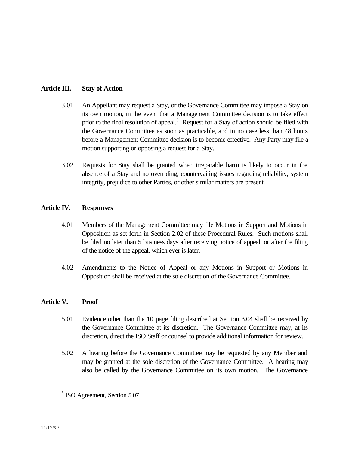## **Article III. Stay of Action**

- 3.01 An Appellant may request a Stay, or the Governance Committee may impose a Stay on its own motion, in the event that a Management Committee decision is to take effect prior to the final resolution of appeal.<sup>5</sup> Request for a Stay of action should be filed with the Governance Committee as soon as practicable, and in no case less than 48 hours before a Management Committee decision is to become effective. Any Party may file a motion supporting or opposing a request for a Stay.
- 3.02 Requests for Stay shall be granted when irreparable harm is likely to occur in the absence of a Stay and no overriding, countervailing issues regarding reliability, system integrity, prejudice to other Parties, or other similar matters are present.

## **Article IV. Responses**

- 4.01 Members of the Management Committee may file Motions in Support and Motions in Opposition as set forth in Section 2.02 of these Procedural Rules. Such motions shall be filed no later than 5 business days after receiving notice of appeal, or after the filing of the notice of the appeal, which ever is later.
- 4.02 Amendments to the Notice of Appeal or any Motions in Support or Motions in Opposition shall be received at the sole discretion of the Governance Committee.

# **Article V. Proof**

- 5.01 Evidence other than the 10 page filing described at Section 3.04 shall be received by the Governance Committee at its discretion. The Governance Committee may, at its discretion, direct the ISO Staff or counsel to provide additional information for review.
- 5.02 A hearing before the Governance Committee may be requested by any Member and may be granted at the sole discretion of the Governance Committee. A hearing may also be called by the Governance Committee on its own motion. The Governance

 $\overline{a}$ 

<sup>&</sup>lt;sup>5</sup> ISO Agreement, Section 5.07.